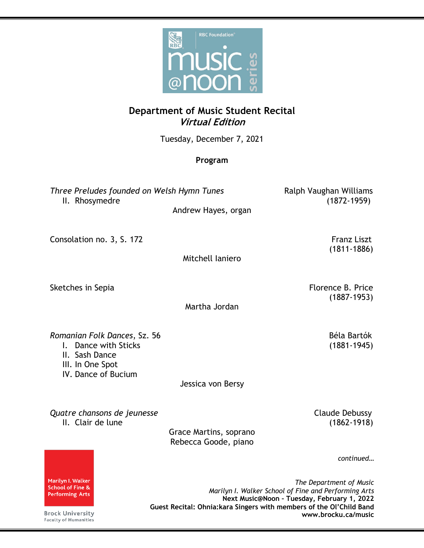

## **Department of Music Student Recital Virtual Edition**

Tuesday, December 7, 2021

## **Program**

*Three Preludes founded on Welsh Hymn Tunes* Ralph Vaughan Williams II. Rhosymedre (1872-1959)

Andrew Hayes, organ

Consolation no. 3, S. 172 Franz Liszt

Mitchell Ianiero

Sketches in Sepia Florence B. Price

Martha Jordan

**Romanian Folk Dances, Sz. 56 Béla Bartók** 

- I. Dance with Sticks (1881-1945)
- II. Sash Dance
- III. In One Spot
- IV. Dance of Bucium

Jessica von Bersy

**Quatre chansons de jeunesse** Claude Debussy II. Clair de lune (1862-1918)

Grace Martins, soprano Rebecca Goode, piano

*continued…*

*The Department of Music Marilyn I. Walker School of Fine and Performing Arts* **Next Music@Noon – Tuesday, February 1, 2022 Guest Recital: Ohnia:kara Singers with members of the Ol'Child Band www.brocku.ca/music**

Marilyn I. Walker School of Fine & **Performing Arts** 

**Brock University Faculty of Humanities**  (1811-1886)

(1887-1953)